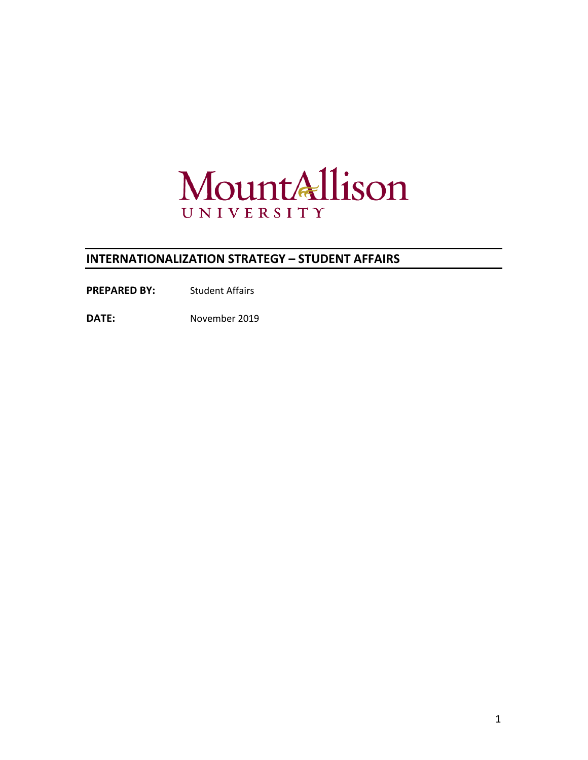

# **INTERNATIONALIZATION STRATEGY – STUDENT AFFAIRS**

PREPARED BY: Student Affairs

**DATE:** November 2019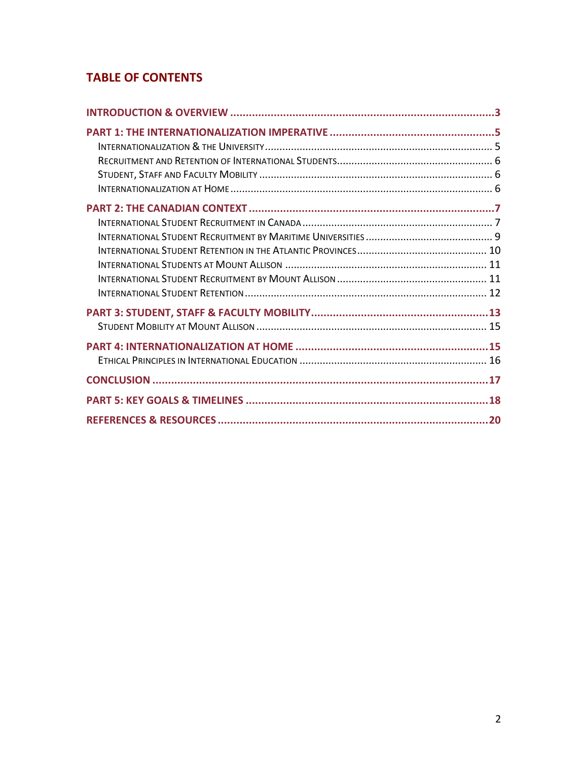# **TABLE OF CONTENTS**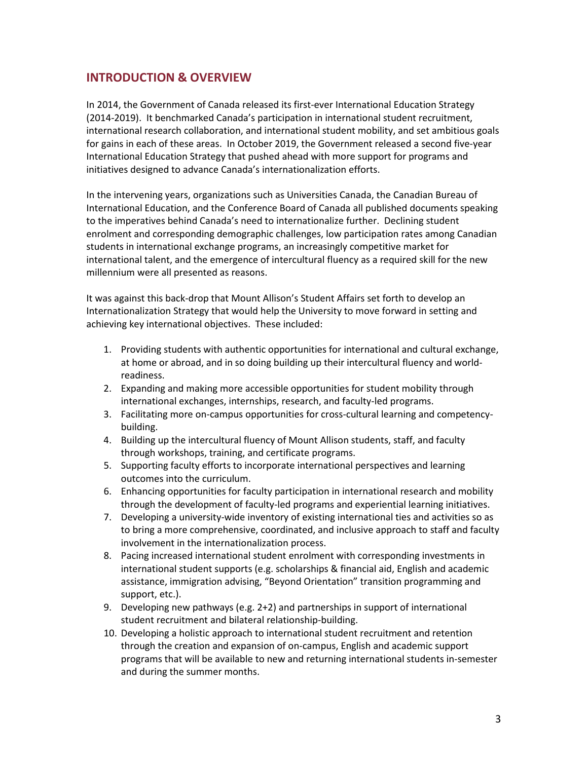## **INTRODUCTION & OVERVIEW**

In 2014, the Government of Canada released its first-ever International Education Strategy (2014-2019). It benchmarked Canada's participation in international student recruitment, international research collaboration, and international student mobility, and set ambitious goals for gains in each of these areas. In October 2019, the Government released a second five-year International Education Strategy that pushed ahead with more support for programs and initiatives designed to advance Canada's internationalization efforts.

In the intervening years, organizations such as Universities Canada, the Canadian Bureau of International Education, and the Conference Board of Canada all published documents speaking to the imperatives behind Canada's need to internationalize further. Declining student enrolment and corresponding demographic challenges, low participation rates among Canadian students in international exchange programs, an increasingly competitive market for international talent, and the emergence of intercultural fluency as a required skill for the new millennium were all presented as reasons.

It was against this back-drop that Mount Allison's Student Affairs set forth to develop an Internationalization Strategy that would help the University to move forward in setting and achieving key international objectives. These included:

- 1. Providing students with authentic opportunities for international and cultural exchange, at home or abroad, and in so doing building up their intercultural fluency and worldreadiness.
- 2. Expanding and making more accessible opportunities for student mobility through international exchanges, internships, research, and faculty-led programs.
- 3. Facilitating more on-campus opportunities for cross-cultural learning and competencybuilding.
- 4. Building up the intercultural fluency of Mount Allison students, staff, and faculty through workshops, training, and certificate programs.
- 5. Supporting faculty efforts to incorporate international perspectives and learning outcomes into the curriculum.
- 6. Enhancing opportunities for faculty participation in international research and mobility through the development of faculty-led programs and experiential learning initiatives.
- 7. Developing a university-wide inventory of existing international ties and activities so as to bring a more comprehensive, coordinated, and inclusive approach to staff and faculty involvement in the internationalization process.
- 8. Pacing increased international student enrolment with corresponding investments in international student supports (e.g. scholarships & financial aid, English and academic assistance, immigration advising, "Beyond Orientation" transition programming and support, etc.).
- 9. Developing new pathways (e.g. 2+2) and partnerships in support of international student recruitment and bilateral relationship-building.
- 10. Developing a holistic approach to international student recruitment and retention through the creation and expansion of on-campus, English and academic support programs that will be available to new and returning international students in-semester and during the summer months.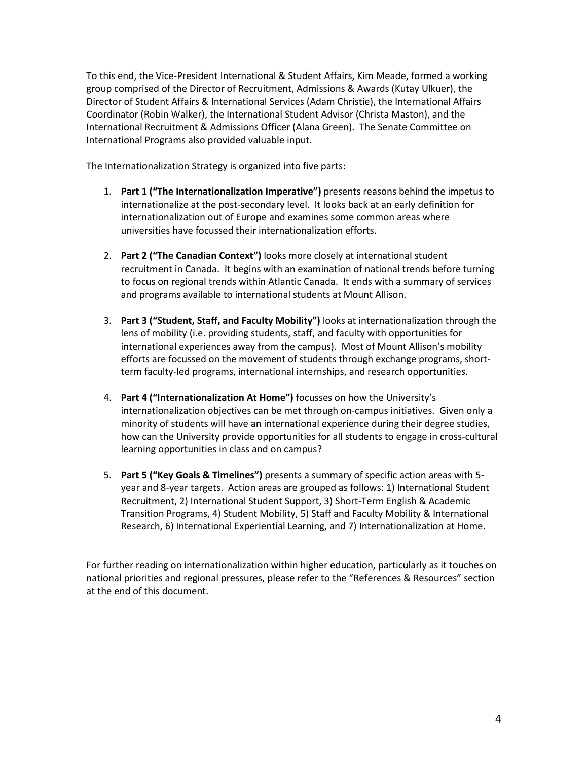To this end, the Vice-President International & Student Affairs, Kim Meade, formed a working group comprised of the Director of Recruitment, Admissions & Awards (Kutay Ulkuer), the Director of Student Affairs & International Services (Adam Christie), the International Affairs Coordinator (Robin Walker), the International Student Advisor (Christa Maston), and the International Recruitment & Admissions Officer (Alana Green). The Senate Committee on International Programs also provided valuable input.

The Internationalization Strategy is organized into five parts:

- 1. **Part 1 ("The Internationalization Imperative")** presents reasons behind the impetus to internationalize at the post-secondary level. It looks back at an early definition for internationalization out of Europe and examines some common areas where universities have focussed their internationalization efforts.
- 2. **Part 2 ("The Canadian Context")** looks more closely at international student recruitment in Canada. It begins with an examination of national trends before turning to focus on regional trends within Atlantic Canada. It ends with a summary of services and programs available to international students at Mount Allison.
- 3. **Part 3 ("Student, Staff, and Faculty Mobility")** looks at internationalization through the lens of mobility (i.e. providing students, staff, and faculty with opportunities for international experiences away from the campus). Most of Mount Allison's mobility efforts are focussed on the movement of students through exchange programs, shortterm faculty-led programs, international internships, and research opportunities.
- 4. **Part 4 ("Internationalization At Home")** focusses on how the University's internationalization objectives can be met through on-campus initiatives. Given only a minority of students will have an international experience during their degree studies, how can the University provide opportunities for all students to engage in cross-cultural learning opportunities in class and on campus?
- 5. **Part 5 ("Key Goals & Timelines")** presents a summary of specific action areas with 5 year and 8-year targets. Action areas are grouped as follows: 1) International Student Recruitment, 2) International Student Support, 3) Short-Term English & Academic Transition Programs, 4) Student Mobility, 5) Staff and Faculty Mobility & International Research, 6) International Experiential Learning, and 7) Internationalization at Home.

For further reading on internationalization within higher education, particularly as it touches on national priorities and regional pressures, please refer to the "References & Resources" section at the end of this document.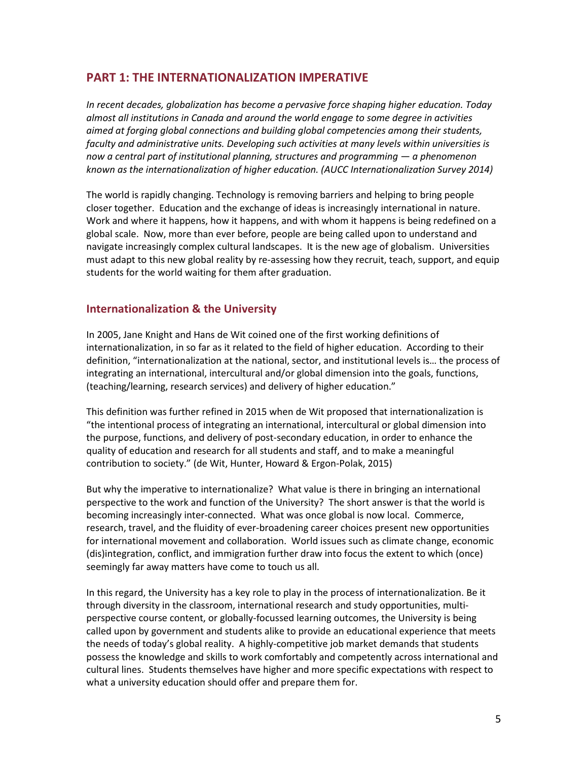## **PART 1: THE INTERNATIONALIZATION IMPERATIVE**

*In recent decades, globalization has become a pervasive force shaping higher education. Today almost all institutions in Canada and around the world engage to some degree in activities aimed at forging global connections and building global competencies among their students, faculty and administrative units. Developing such activities at many levels within universities is now a central part of institutional planning, structures and programming — a phenomenon known as the internationalization of higher education. (AUCC Internationalization Survey 2014)*

The world is rapidly changing. Technology is removing barriers and helping to bring people closer together. Education and the exchange of ideas is increasingly international in nature. Work and where it happens, how it happens, and with whom it happens is being redefined on a global scale. Now, more than ever before, people are being called upon to understand and navigate increasingly complex cultural landscapes. It is the new age of globalism. Universities must adapt to this new global reality by re-assessing how they recruit, teach, support, and equip students for the world waiting for them after graduation.

## **Internationalization & the University**

In 2005, Jane Knight and Hans de Wit coined one of the first working definitions of internationalization, in so far as it related to the field of higher education. According to their definition, "internationalization at the national, sector, and institutional levels is… the process of integrating an international, intercultural and/or global dimension into the goals, functions, (teaching/learning, research services) and delivery of higher education."

This definition was further refined in 2015 when de Wit proposed that internationalization is "the intentional process of integrating an international, intercultural or global dimension into the purpose, functions, and delivery of post-secondary education, in order to enhance the quality of education and research for all students and staff, and to make a meaningful contribution to society." (de Wit, Hunter, Howard & Ergon-Polak, 2015)

But why the imperative to internationalize? What value is there in bringing an international perspective to the work and function of the University? The short answer is that the world is becoming increasingly inter-connected. What was once global is now local. Commerce, research, travel, and the fluidity of ever-broadening career choices present new opportunities for international movement and collaboration. World issues such as climate change, economic (dis)integration, conflict, and immigration further draw into focus the extent to which (once) seemingly far away matters have come to touch us all.

In this regard, the University has a key role to play in the process of internationalization. Be it through diversity in the classroom, international research and study opportunities, multiperspective course content, or globally-focussed learning outcomes, the University is being called upon by government and students alike to provide an educational experience that meets the needs of today's global reality. A highly-competitive job market demands that students possess the knowledge and skills to work comfortably and competently across international and cultural lines. Students themselves have higher and more specific expectations with respect to what a university education should offer and prepare them for.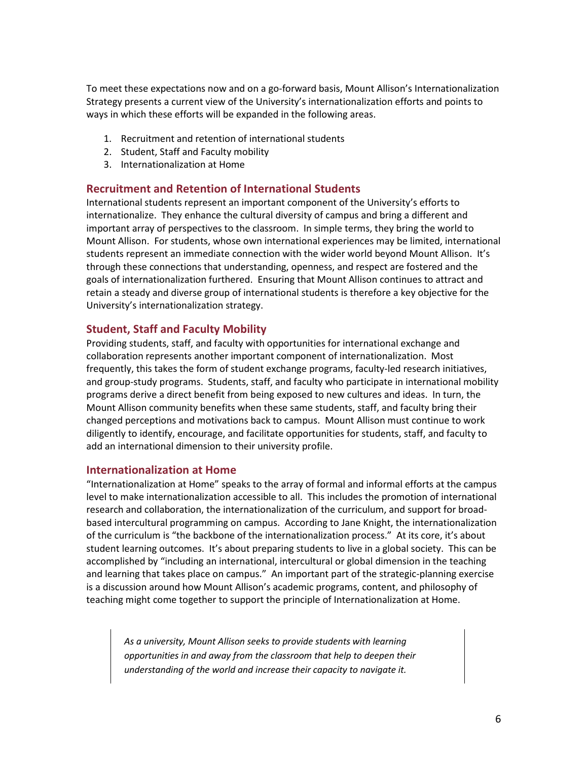To meet these expectations now and on a go-forward basis, Mount Allison's Internationalization Strategy presents a current view of the University's internationalization efforts and points to ways in which these efforts will be expanded in the following areas.

- 1. Recruitment and retention of international students
- 2. Student, Staff and Faculty mobility
- 3. Internationalization at Home

### **Recruitment and Retention of International Students**

International students represent an important component of the University's efforts to internationalize. They enhance the cultural diversity of campus and bring a different and important array of perspectives to the classroom. In simple terms, they bring the world to Mount Allison. For students, whose own international experiences may be limited, international students represent an immediate connection with the wider world beyond Mount Allison. It's through these connections that understanding, openness, and respect are fostered and the goals of internationalization furthered. Ensuring that Mount Allison continues to attract and retain a steady and diverse group of international students is therefore a key objective for the University's internationalization strategy.

## **Student, Staff and Faculty Mobility**

Providing students, staff, and faculty with opportunities for international exchange and collaboration represents another important component of internationalization. Most frequently, this takes the form of student exchange programs, faculty-led research initiatives, and group-study programs. Students, staff, and faculty who participate in international mobility programs derive a direct benefit from being exposed to new cultures and ideas. In turn, the Mount Allison community benefits when these same students, staff, and faculty bring their changed perceptions and motivations back to campus. Mount Allison must continue to work diligently to identify, encourage, and facilitate opportunities for students, staff, and faculty to add an international dimension to their university profile.

### **Internationalization at Home**

"Internationalization at Home" speaks to the array of formal and informal efforts at the campus level to make internationalization accessible to all. This includes the promotion of international research and collaboration, the internationalization of the curriculum, and support for broadbased intercultural programming on campus. According to Jane Knight, the internationalization of the curriculum is "the backbone of the internationalization process." At its core, it's about student learning outcomes. It's about preparing students to live in a global society. This can be accomplished by "including an international, intercultural or global dimension in the teaching and learning that takes place on campus." An important part of the strategic-planning exercise is a discussion around how Mount Allison's academic programs, content, and philosophy of teaching might come together to support the principle of Internationalization at Home.

*As a university, Mount Allison seeks to provide students with learning opportunities in and away from the classroom that help to deepen their understanding of the world and increase their capacity to navigate it.*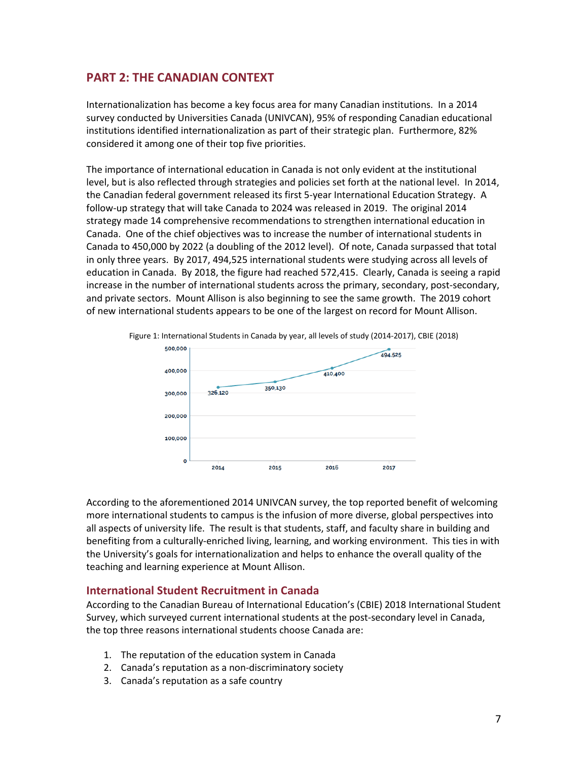## **PART 2: THE CANADIAN CONTEXT**

Internationalization has become a key focus area for many Canadian institutions. In a 2014 survey conducted by Universities Canada (UNIVCAN), 95% of responding Canadian educational institutions identified internationalization as part of their strategic plan. Furthermore, 82% considered it among one of their top five priorities.

The importance of international education in Canada is not only evident at the institutional level, but is also reflected through strategies and policies set forth at the national level. In 2014, the Canadian federal government released its first 5-year International Education Strategy. A follow-up strategy that will take Canada to 2024 was released in 2019. The original 2014 strategy made 14 comprehensive recommendations to strengthen international education in Canada. One of the chief objectives was to increase the number of international students in Canada to 450,000 by 2022 (a doubling of the 2012 level). Of note, Canada surpassed that total in only three years. By 2017, 494,525 international students were studying across all levels of education in Canada. By 2018, the figure had reached 572,415. Clearly, Canada is seeing a rapid increase in the number of international students across the primary, secondary, post-secondary, and private sectors. Mount Allison is also beginning to see the same growth. The 2019 cohort of new international students appears to be one of the largest on record for Mount Allison.



Figure 1: International Students in Canada by year, all levels of study (2014-2017), CBIE (2018)

According to the aforementioned 2014 UNIVCAN survey, the top reported benefit of welcoming more international students to campus is the infusion of more diverse, global perspectives into all aspects of university life. The result is that students, staff, and faculty share in building and benefiting from a culturally-enriched living, learning, and working environment. This ties in with the University's goals for internationalization and helps to enhance the overall quality of the teaching and learning experience at Mount Allison.

### **International Student Recruitment in Canada**

According to the Canadian Bureau of International Education's (CBIE) 2018 International Student Survey, which surveyed current international students at the post-secondary level in Canada, the top three reasons international students choose Canada are:

- 1. The reputation of the education system in Canada
- 2. Canada's reputation as a non-discriminatory society
- 3. Canada's reputation as a safe country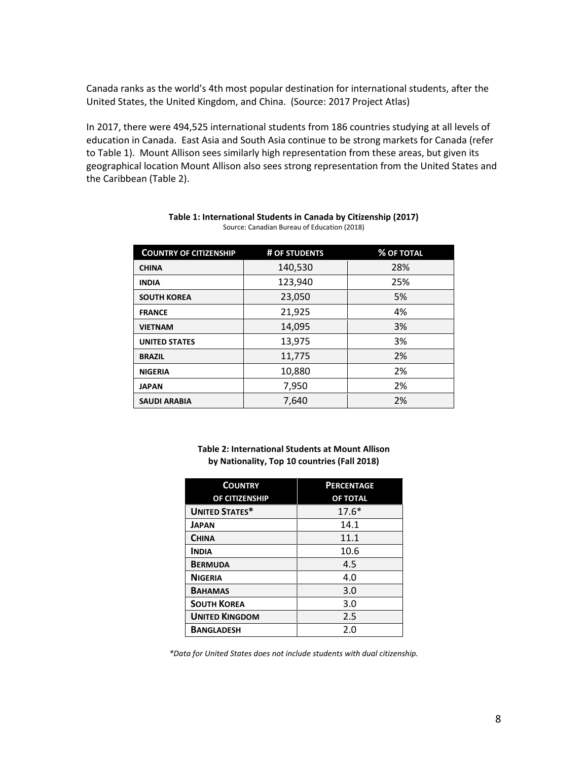Canada ranks as the world's 4th most popular destination for international students, after the United States, the United Kingdom, and China. (Source: 2017 Project Atlas)

In 2017, there were 494,525 international students from 186 countries studying at all levels of education in Canada. East Asia and South Asia continue to be strong markets for Canada (refer to Table 1). Mount Allison sees similarly high representation from these areas, but given its geographical location Mount Allison also sees strong representation from the United States and the Caribbean (Table 2).

| <b>COUNTRY OF CITIZENSHIP</b> | # OF STUDENTS | <b>% OF TOTAL</b> |
|-------------------------------|---------------|-------------------|
| <b>CHINA</b>                  | 140,530       | 28%               |
| <b>INDIA</b>                  | 123,940       | 25%               |
| <b>SOUTH KOREA</b>            | 23,050        | 5%                |
| <b>FRANCE</b>                 | 21,925        | 4%                |
| <b>VIETNAM</b>                | 14,095        | 3%                |
| <b>UNITED STATES</b>          | 13,975        | 3%                |
| <b>BRAZIL</b>                 | 11,775        | 2%                |
| <b>NIGERIA</b>                | 10,880        | 2%                |
| <b>JAPAN</b>                  | 7,950         | 2%                |
| <b>SAUDI ARABIA</b>           | 7,640         | 2%                |

| Table 1: International Students in Canada by Citizenship (2017) |  |
|-----------------------------------------------------------------|--|
| Source: Canadian Bureau of Education (2018)                     |  |

**Table 2: International Students at Mount Allison by Nationality, Top 10 countries (Fall 2018)**

| <b>COUNTRY</b>        | <b>PERCENTAGE</b> |
|-----------------------|-------------------|
| OF CITIZENSHIP        | OF TOTAL          |
| <b>UNITED STATES*</b> | $17.6*$           |
| <b>JAPAN</b>          | 14.1              |
| <b>CHINA</b>          | 11.1              |
| <b>INDIA</b>          | 10.6              |
| <b>BERMUDA</b>        | 4.5               |
| <b>NIGERIA</b>        | 4.0               |
| <b>BAHAMAS</b>        | 3.0               |
| <b>SOUTH KOREA</b>    | 3.0               |
| <b>UNITED KINGDOM</b> | 2.5               |
| <b>BANGLADESH</b>     | 2.0               |

*\*Data for United States does not include students with dual citizenship.*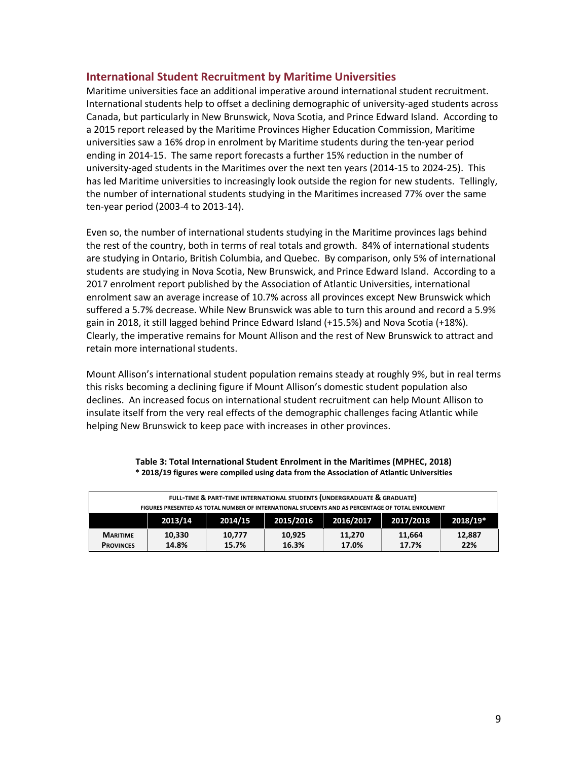## **International Student Recruitment by Maritime Universities**

Maritime universities face an additional imperative around international student recruitment. International students help to offset a declining demographic of university-aged students across Canada, but particularly in New Brunswick, Nova Scotia, and Prince Edward Island. According to a 2015 report released by the Maritime Provinces Higher Education Commission, Maritime universities saw a 16% drop in enrolment by Maritime students during the ten-year period ending in 2014-15. The same report forecasts a further 15% reduction in the number of university-aged students in the Maritimes over the next ten years (2014-15 to 2024-25). This has led Maritime universities to increasingly look outside the region for new students. Tellingly, the number of international students studying in the Maritimes increased 77% over the same ten-year period (2003-4 to 2013-14).

Even so, the number of international students studying in the Maritime provinces lags behind the rest of the country, both in terms of real totals and growth. 84% of international students are studying in Ontario, British Columbia, and Quebec. By comparison, only 5% of international students are studying in Nova Scotia, New Brunswick, and Prince Edward Island. According to a 2017 enrolment report published by the Association of Atlantic Universities, international enrolment saw an average increase of 10.7% across all provinces except New Brunswick which suffered a 5.7% decrease. While New Brunswick was able to turn this around and record a 5.9% gain in 2018, it still lagged behind Prince Edward Island (+15.5%) and Nova Scotia (+18%). Clearly, the imperative remains for Mount Allison and the rest of New Brunswick to attract and retain more international students.

Mount Allison's international student population remains steady at roughly 9%, but in real terms this risks becoming a declining figure if Mount Allison's domestic student population also declines. An increased focus on international student recruitment can help Mount Allison to insulate itself from the very real effects of the demographic challenges facing Atlantic while helping New Brunswick to keep pace with increases in other provinces.

| FULL-TIME & PART-TIME INTERNATIONAL STUDENTS (UNDERGRADUATE & GRADUATE)                          |                 |                 |                 |                 |                 |               |
|--------------------------------------------------------------------------------------------------|-----------------|-----------------|-----------------|-----------------|-----------------|---------------|
| FIGURES PRESENTED AS TOTAL NUMBER OF INTERNATIONAL STUDENTS AND AS PERCENTAGE OF TOTAL ENROLMENT |                 |                 |                 |                 |                 |               |
| 2015/2016<br>2016/2017<br>2017/2018<br>2018/19*<br>2014/15<br>2013/14                            |                 |                 |                 |                 |                 |               |
| <b>MARITIME</b><br><b>PROVINCES</b>                                                              | 10.330<br>14.8% | 10.777<br>15.7% | 10.925<br>16.3% | 11.270<br>17.0% | 11.664<br>17.7% | 12,887<br>22% |

#### **Table 3: Total International Student Enrolment in the Maritimes (MPHEC, 2018) \* 2018/19 figures were compiled using data from the Association of Atlantic Universities**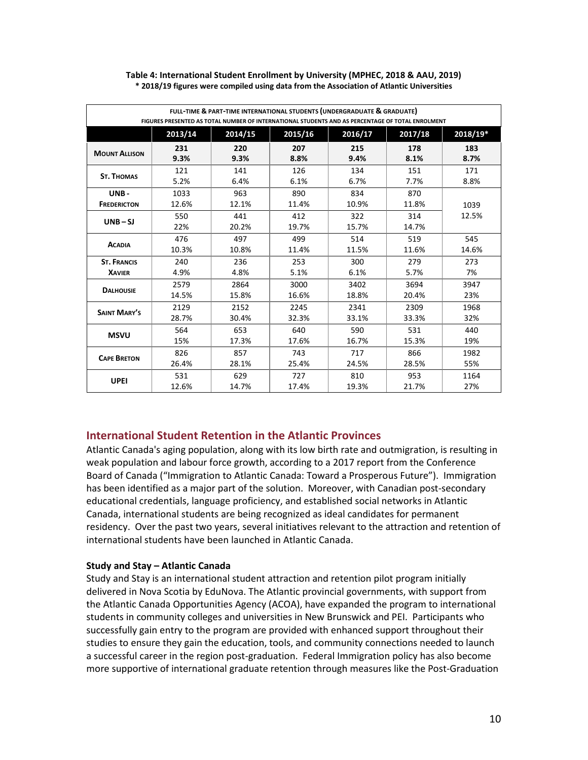| FULL-TIME & PART-TIME INTERNATIONAL STUDENTS (UNDERGRADUATE & GRADUATE)<br>FIGURES PRESENTED AS TOTAL NUMBER OF INTERNATIONAL STUDENTS AND AS PERCENTAGE OF TOTAL ENROLMENT |            |              |              |              |              |          |
|-----------------------------------------------------------------------------------------------------------------------------------------------------------------------------|------------|--------------|--------------|--------------|--------------|----------|
|                                                                                                                                                                             | 2013/14    | 2014/15      | 2015/16      | 2016/17      | 2017/18      | 2018/19* |
| <b>MOUNT ALLISON</b>                                                                                                                                                        | 231        | 220          | 207          | 215          | 178          | 183      |
|                                                                                                                                                                             | 9.3%       | 9.3%         | 8.8%         | 9.4%         | 8.1%         | 8.7%     |
| <b>ST. THOMAS</b>                                                                                                                                                           | 121        | 141          | 126          | 134          | 151          | 171      |
|                                                                                                                                                                             | 5.2%       | 6.4%         | 6.1%         | 6.7%         | 7.7%         | 8.8%     |
| UNB-                                                                                                                                                                        | 1033       | 963          | 890          | 834          | 870          | 1039     |
| <b>FREDERICTON</b>                                                                                                                                                          | 12.6%      | 12.1%        | 11.4%        | 10.9%        | 11.8%        |          |
| $UNB-SJ$                                                                                                                                                                    | 550<br>22% | 441<br>20.2% | 412<br>19.7% | 322<br>15.7% | 314<br>14.7% | 12.5%    |
| <b>ACADIA</b>                                                                                                                                                               | 476        | 497          | 499          | 514          | 519          | 545      |
|                                                                                                                                                                             | 10.3%      | 10.8%        | 11.4%        | 11.5%        | 11.6%        | 14.6%    |
| <b>ST. FRANCIS</b>                                                                                                                                                          | 240        | 236          | 253          | 300          | 279          | 273      |
| <b>XAVIER</b>                                                                                                                                                               | 4.9%       | 4.8%         | 5.1%         | 6.1%         | 5.7%         | 7%       |
| <b>DALHOUSIE</b>                                                                                                                                                            | 2579       | 2864         | 3000         | 3402         | 3694         | 3947     |
|                                                                                                                                                                             | 14.5%      | 15.8%        | 16.6%        | 18.8%        | 20.4%        | 23%      |
| <b>SAINT MARY'S</b>                                                                                                                                                         | 2129       | 2152         | 2245         | 2341         | 2309         | 1968     |
|                                                                                                                                                                             | 28.7%      | 30.4%        | 32.3%        | 33.1%        | 33.3%        | 32%      |
| <b>MSVU</b>                                                                                                                                                                 | 564        | 653          | 640          | 590          | 531          | 440      |
|                                                                                                                                                                             | 15%        | 17.3%        | 17.6%        | 16.7%        | 15.3%        | 19%      |
| <b>CAPE BRETON</b>                                                                                                                                                          | 826        | 857          | 743          | 717          | 866          | 1982     |
|                                                                                                                                                                             | 26.4%      | 28.1%        | 25.4%        | 24.5%        | 28.5%        | 55%      |
| <b>UPEI</b>                                                                                                                                                                 | 531        | 629          | 727          | 810          | 953          | 1164     |
|                                                                                                                                                                             | 12.6%      | 14.7%        | 17.4%        | 19.3%        | 21.7%        | 27%      |

#### **Table 4: International Student Enrollment by University (MPHEC, 2018 & AAU, 2019) \* 2018/19 figures were compiled using data from the Association of Atlantic Universities**

## **International Student Retention in the Atlantic Provinces**

Atlantic Canada's aging population, along with its low birth rate and outmigration, is resulting in weak population and labour force growth, according to a 2017 report from the Conference Board of Canada ("Immigration to Atlantic Canada: Toward a Prosperous Future"). Immigration has been identified as a major part of the solution. Moreover, with Canadian post-secondary educational credentials, language proficiency, and established social networks in Atlantic Canada, international students are being recognized as ideal candidates for permanent residency. Over the past two years, several initiatives relevant to the attraction and retention of international students have been launched in Atlantic Canada.

### **Study and Stay – Atlantic Canada**

Study and Stay is an international student attraction and retention pilot program initially delivered in Nova Scotia by EduNova. The Atlantic provincial governments, with support from the Atlantic Canada Opportunities Agency (ACOA), have expanded the program to international students in community colleges and universities in New Brunswick and PEI. Participants who successfully gain entry to the program are provided with enhanced support throughout their studies to ensure they gain the education, tools, and community connections needed to launch a successful career in the region post-graduation. Federal Immigration policy has also become more supportive of international graduate retention through measures like the Post-Graduation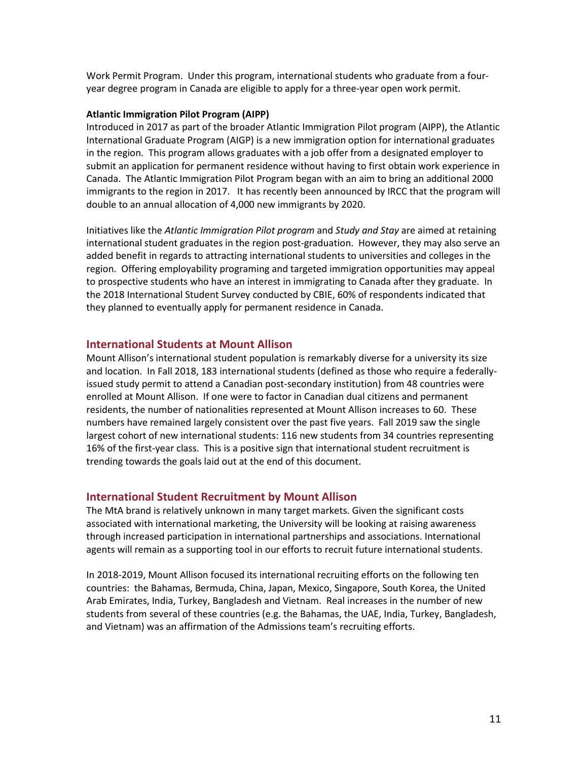Work Permit Program. Under this program, international students who graduate from a fouryear degree program in Canada are eligible to apply for a three-year open work permit.

#### **Atlantic Immigration Pilot Program (AIPP)**

Introduced in 2017 as part of the broader Atlantic Immigration Pilot program (AIPP), the Atlantic International Graduate Program (AIGP) is a new immigration option for international graduates in the region. This program allows graduates with a job offer from a designated employer to submit an application for permanent residence without having to first obtain work experience in Canada. The Atlantic Immigration Pilot Program began with an aim to bring an additional 2000 immigrants to the region in 2017. It has recently been announced by IRCC that the program will double to an annual allocation of 4,000 new immigrants by 2020.

Initiatives like the *Atlantic Immigration Pilot program* and *Study and Stay* are aimed at retaining international student graduates in the region post-graduation. However, they may also serve an added benefit in regards to attracting international students to universities and colleges in the region. Offering employability programing and targeted immigration opportunities may appeal to prospective students who have an interest in immigrating to Canada after they graduate. In the 2018 International Student Survey conducted by CBIE, 60% of respondents indicated that they planned to eventually apply for permanent residence in Canada.

#### **International Students at Mount Allison**

Mount Allison's international student population is remarkably diverse for a university its size and location. In Fall 2018, 183 international students (defined as those who require a federallyissued study permit to attend a Canadian post-secondary institution) from 48 countries were enrolled at Mount Allison. If one were to factor in Canadian dual citizens and permanent residents, the number of nationalities represented at Mount Allison increases to 60. These numbers have remained largely consistent over the past five years. Fall 2019 saw the single largest cohort of new international students: 116 new students from 34 countries representing 16% of the first-year class. This is a positive sign that international student recruitment is trending towards the goals laid out at the end of this document.

#### **International Student Recruitment by Mount Allison**

The MtA brand is relatively unknown in many target markets. Given the significant costs associated with international marketing, the University will be looking at raising awareness through increased participation in international partnerships and associations. International agents will remain as a supporting tool in our efforts to recruit future international students.

In 2018-2019, Mount Allison focused its international recruiting efforts on the following ten countries: the Bahamas, Bermuda, China, Japan, Mexico, Singapore, South Korea, the United Arab Emirates, India, Turkey, Bangladesh and Vietnam. Real increases in the number of new students from several of these countries (e.g. the Bahamas, the UAE, India, Turkey, Bangladesh, and Vietnam) was an affirmation of the Admissions team's recruiting efforts.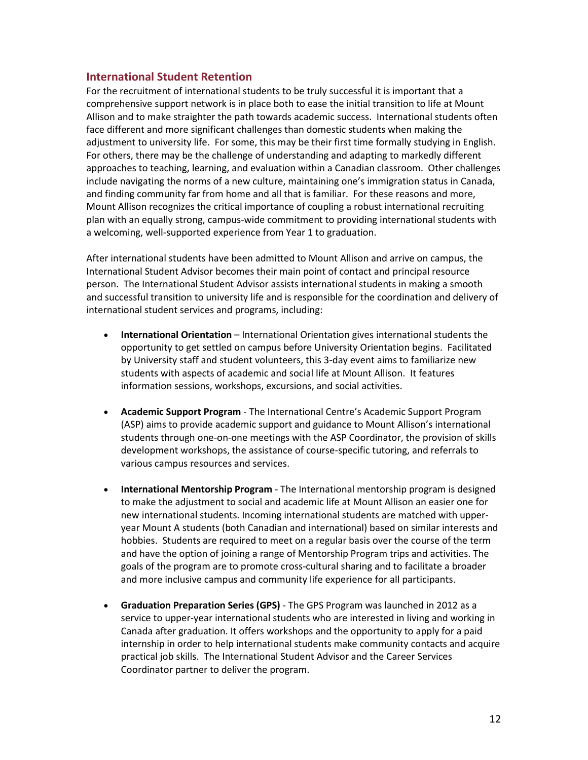## **International Student Retention**

For the recruitment of international students to be truly successful it is important that a comprehensive support network is in place both to ease the initial transition to life at Mount Allison and to make straighter the path towards academic success. International students often face different and more significant challenges than domestic students when making the adjustment to university life. For some, this may be their first time formally studying in English. For others, there may be the challenge of understanding and adapting to markedly different approaches to teaching, learning, and evaluation within a Canadian classroom. Other challenges include navigating the norms of a new culture, maintaining one's immigration status in Canada, and finding community far from home and all that is familiar. For these reasons and more, Mount Allison recognizes the critical importance of coupling a robust international recruiting plan with an equally strong, campus-wide commitment to providing international students with a welcoming, well-supported experience from Year 1 to graduation.

After international students have been admitted to Mount Allison and arrive on campus, the International Student Advisor becomes their main point of contact and principal resource person. The International Student Advisor assists international students in making a smooth and successful transition to university life and is responsible for the coordination and delivery of international student services and programs, including:

- **International Orientation** International Orientation gives international students the opportunity to get settled on campus before University Orientation begins. Facilitated by University staff and student volunteers, this 3-day event aims to familiarize new students with aspects of academic and social life at Mount Allison. It features information sessions, workshops, excursions, and social activities.
- **Academic Support Program** The International Centre's Academic Support Program (ASP) aims to provide academic support and guidance to Mount Allison's international students through one-on-one meetings with the ASP Coordinator, the provision of skills development workshops, the assistance of course-specific tutoring, and referrals to various campus resources and services.
- **International Mentorship Program** The International mentorship program is designed to make the adjustment to social and academic life at Mount Allison an easier one for new international students. Incoming international students are matched with upperyear Mount A students (both Canadian and international) based on similar interests and hobbies. Students are required to meet on a regular basis over the course of the term and have the option of joining a range of Mentorship Program trips and activities. The goals of the program are to promote cross-cultural sharing and to facilitate a broader and more inclusive campus and community life experience for all participants.
- **Graduation Preparation Series (GPS)** The GPS Program was launched in 2012 as a service to upper-year international students who are interested in living and working in Canada after graduation. It offers workshops and the opportunity to apply for a paid internship in order to help international students make community contacts and acquire practical job skills. The International Student Advisor and the Career Services Coordinator partner to deliver the program.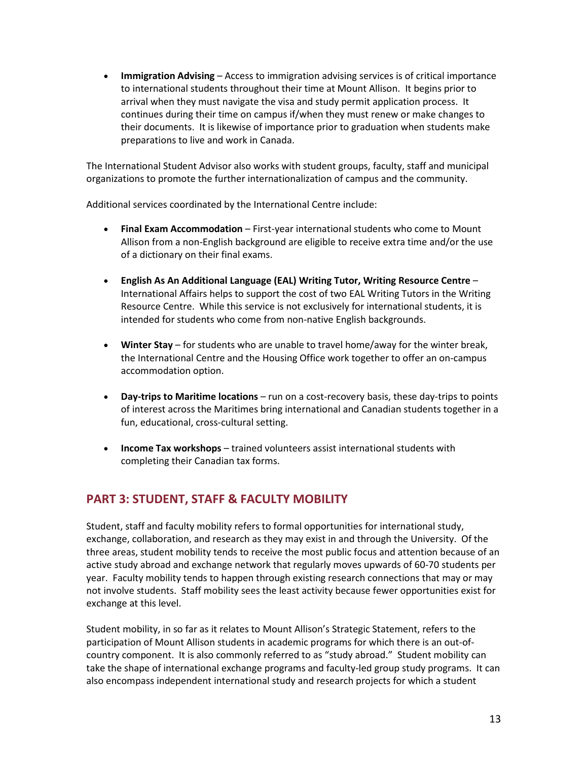• **Immigration Advising** – Access to immigration advising services is of critical importance to international students throughout their time at Mount Allison. It begins prior to arrival when they must navigate the visa and study permit application process. It continues during their time on campus if/when they must renew or make changes to their documents. It is likewise of importance prior to graduation when students make preparations to live and work in Canada.

The International Student Advisor also works with student groups, faculty, staff and municipal organizations to promote the further internationalization of campus and the community.

Additional services coordinated by the International Centre include:

- **Final Exam Accommodation** First-year international students who come to Mount Allison from a non-English background are eligible to receive extra time and/or the use of a dictionary on their final exams.
- **English As An Additional Language (EAL) Writing Tutor, Writing Resource Centre**  International Affairs helps to support the cost of two EAL Writing Tutors in the Writing Resource Centre. While this service is not exclusively for international students, it is intended for students who come from non-native English backgrounds.
- **Winter Stay** for students who are unable to travel home/away for the winter break, the International Centre and the Housing Office work together to offer an on-campus accommodation option.
- **Day-trips to Maritime locations** run on a cost-recovery basis, these day-trips to points of interest across the Maritimes bring international and Canadian students together in a fun, educational, cross-cultural setting.
- **Income Tax workshops** trained volunteers assist international students with completing their Canadian tax forms.

# **PART 3: STUDENT, STAFF & FACULTY MOBILITY**

Student, staff and faculty mobility refers to formal opportunities for international study, exchange, collaboration, and research as they may exist in and through the University. Of the three areas, student mobility tends to receive the most public focus and attention because of an active study abroad and exchange network that regularly moves upwards of 60-70 students per year. Faculty mobility tends to happen through existing research connections that may or may not involve students. Staff mobility sees the least activity because fewer opportunities exist for exchange at this level.

Student mobility, in so far as it relates to Mount Allison's Strategic Statement, refers to the participation of Mount Allison students in academic programs for which there is an out-ofcountry component. It is also commonly referred to as "study abroad." Student mobility can take the shape of international exchange programs and faculty-led group study programs. It can also encompass independent international study and research projects for which a student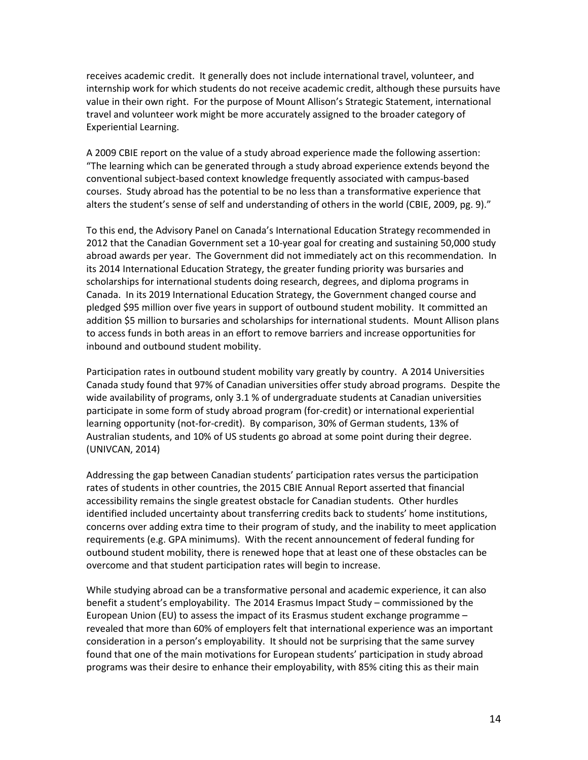receives academic credit. It generally does not include international travel, volunteer, and internship work for which students do not receive academic credit, although these pursuits have value in their own right. For the purpose of Mount Allison's Strategic Statement, international travel and volunteer work might be more accurately assigned to the broader category of Experiential Learning.

A 2009 CBIE report on the value of a study abroad experience made the following assertion: "The learning which can be generated through a study abroad experience extends beyond the conventional subject-based context knowledge frequently associated with campus-based courses. Study abroad has the potential to be no less than a transformative experience that alters the student's sense of self and understanding of others in the world (CBIE, 2009, pg. 9)."

To this end, the Advisory Panel on Canada's International Education Strategy recommended in 2012 that the Canadian Government set a 10-year goal for creating and sustaining 50,000 study abroad awards per year. The Government did not immediately act on this recommendation. In its 2014 International Education Strategy, the greater funding priority was bursaries and scholarships for international students doing research, degrees, and diploma programs in Canada. In its 2019 International Education Strategy, the Government changed course and pledged \$95 million over five years in support of outbound student mobility. It committed an addition \$5 million to bursaries and scholarships for international students. Mount Allison plans to access funds in both areas in an effort to remove barriers and increase opportunities for inbound and outbound student mobility.

Participation rates in outbound student mobility vary greatly by country. A 2014 Universities Canada study found that 97% of Canadian universities offer study abroad programs. Despite the wide availability of programs, only 3.1 % of undergraduate students at Canadian universities participate in some form of study abroad program (for-credit) or international experiential learning opportunity (not-for-credit). By comparison, 30% of German students, 13% of Australian students, and 10% of US students go abroad at some point during their degree. (UNIVCAN, 2014)

Addressing the gap between Canadian students' participation rates versus the participation rates of students in other countries, the 2015 CBIE Annual Report asserted that financial accessibility remains the single greatest obstacle for Canadian students. Other hurdles identified included uncertainty about transferring credits back to students' home institutions, concerns over adding extra time to their program of study, and the inability to meet application requirements (e.g. GPA minimums). With the recent announcement of federal funding for outbound student mobility, there is renewed hope that at least one of these obstacles can be overcome and that student participation rates will begin to increase.

While studying abroad can be a transformative personal and academic experience, it can also benefit a student's employability. The 2014 Erasmus Impact Study – commissioned by the European Union (EU) to assess the impact of its Erasmus student exchange programme  $$ revealed that more than 60% of employers felt that international experience was an important consideration in a person's employability. It should not be surprising that the same survey found that one of the main motivations for European students' participation in study abroad programs was their desire to enhance their employability, with 85% citing this as their main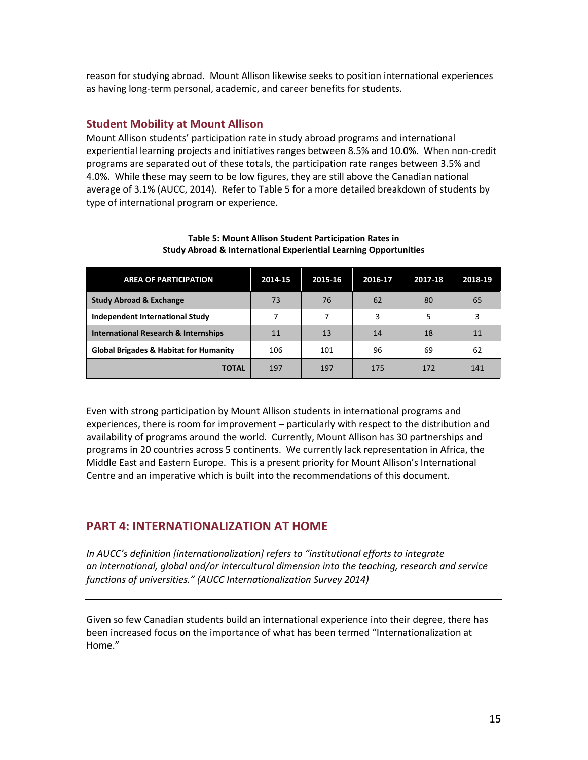reason for studying abroad. Mount Allison likewise seeks to position international experiences as having long-term personal, academic, and career benefits for students.

### **Student Mobility at Mount Allison**

Mount Allison students' participation rate in study abroad programs and international experiential learning projects and initiatives ranges between 8.5% and 10.0%. When non-credit programs are separated out of these totals, the participation rate ranges between 3.5% and 4.0%. While these may seem to be low figures, they are still above the Canadian national average of 3.1% (AUCC, 2014). Refer to Table 5 for a more detailed breakdown of students by type of international program or experience.

| <b>AREA OF PARTICIPATION</b>                      | 2014-15 | 2015-16 | 2016-17 | 2017-18 | 2018-19 |
|---------------------------------------------------|---------|---------|---------|---------|---------|
| <b>Study Abroad &amp; Exchange</b>                | 73      | 76      | 62      | 80      | 65      |
| Independent International Study                   | 7       | 7       | 3       | 5       | 3       |
| International Research & Internships              | 11      | 13      | 14      | 18      | 11      |
| <b>Global Brigades &amp; Habitat for Humanity</b> | 106     | 101     | 96      | 69      | 62      |
| TOTAL                                             | 197     | 197     | 175     | 172     | 141     |

#### **Table 5: Mount Allison Student Participation Rates in Study Abroad & International Experiential Learning Opportunities**

Even with strong participation by Mount Allison students in international programs and experiences, there is room for improvement – particularly with respect to the distribution and availability of programs around the world. Currently, Mount Allison has 30 partnerships and programs in 20 countries across 5 continents. We currently lack representation in Africa, the Middle East and Eastern Europe. This is a present priority for Mount Allison's International Centre and an imperative which is built into the recommendations of this document.

## **PART 4: INTERNATIONALIZATION AT HOME**

*In AUCC's definition [internationalization] refers to "institutional efforts to integrate an international, global and/or intercultural dimension into the teaching, research and service functions of universities." (AUCC Internationalization Survey 2014)* 

Given so few Canadian students build an international experience into their degree, there has been increased focus on the importance of what has been termed "Internationalization at Home."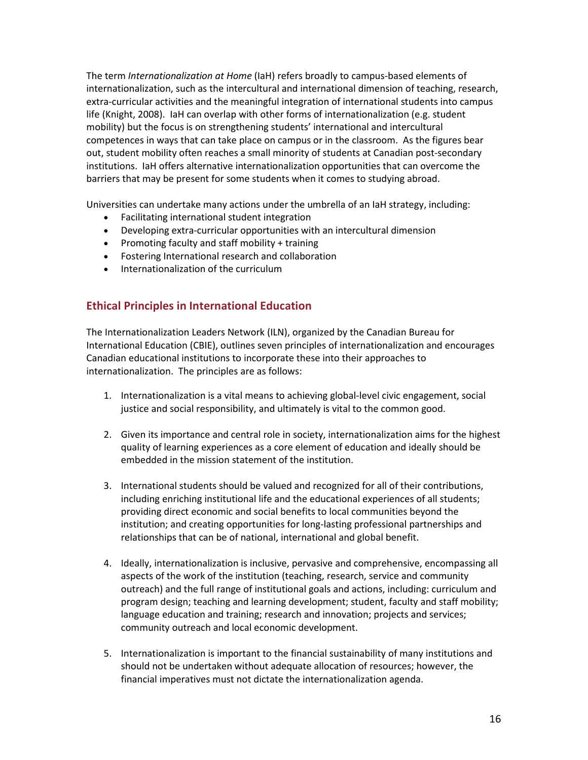The term *Internationalization at Home* (IaH) refers broadly to campus-based elements of internationalization, such as the intercultural and international dimension of teaching, research, extra-curricular activities and the meaningful integration of international students into campus life (Knight, 2008). IaH can overlap with other forms of internationalization (e.g. student mobility) but the focus is on strengthening students' international and intercultural competences in ways that can take place on campus or in the classroom. As the figures bear out, student mobility often reaches a small minority of students at Canadian post-secondary institutions. IaH offers alternative internationalization opportunities that can overcome the barriers that may be present for some students when it comes to studying abroad.

Universities can undertake many actions under the umbrella of an IaH strategy, including:

- Facilitating international student integration
- Developing extra-curricular opportunities with an intercultural dimension
- Promoting faculty and staff mobility + training
- Fostering International research and collaboration
- Internationalization of the curriculum

## **Ethical Principles in International Education**

The Internationalization Leaders Network (ILN), organized by the Canadian Bureau for International Education (CBIE), outlines seven principles of internationalization and encourages Canadian educational institutions to incorporate these into their approaches to internationalization. The principles are as follows:

- 1. Internationalization is a vital means to achieving global-level civic engagement, social justice and social responsibility, and ultimately is vital to the common good.
- 2. Given its importance and central role in society, internationalization aims for the highest quality of learning experiences as a core element of education and ideally should be embedded in the mission statement of the institution.
- 3. International students should be valued and recognized for all of their contributions, including enriching institutional life and the educational experiences of all students; providing direct economic and social benefits to local communities beyond the institution; and creating opportunities for long-lasting professional partnerships and relationships that can be of national, international and global benefit.
- 4. Ideally, internationalization is inclusive, pervasive and comprehensive, encompassing all aspects of the work of the institution (teaching, research, service and community outreach) and the full range of institutional goals and actions, including: curriculum and program design; teaching and learning development; student, faculty and staff mobility; language education and training; research and innovation; projects and services; community outreach and local economic development.
- 5. Internationalization is important to the financial sustainability of many institutions and should not be undertaken without adequate allocation of resources; however, the financial imperatives must not dictate the internationalization agenda.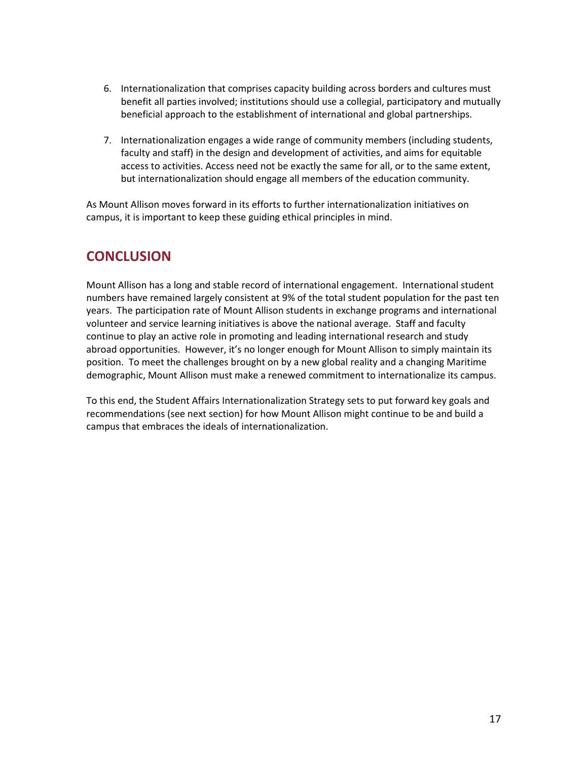- 6. Internationalization that comprises capacity building across borders and cultures must benefit all parties involved; institutions should use a collegial, participatory and mutually beneficial approach to the establishment of international and global partnerships.
- 7. Internationalization engages a wide range of community members (including students, faculty and staff) in the design and development of activities, and aims for equitable access to activities. Access need not be exactly the same for all, or to the same extent, but internationalization should engage all members of the education community.

As Mount Allison moves forward in its efforts to further internationalization initiatives on campus, it is important to keep these guiding ethical principles in mind.

# **CONCLUSION**

Mount Allison has a long and stable record of international engagement. International student numbers have remained largely consistent at 9% of the total student population for the past ten years. The participation rate of Mount Allison students in exchange programs and international volunteer and service learning initiatives is above the national average. Staff and faculty continue to play an active role in promoting and leading international research and study abroad opportunities. However, it's no longer enough for Mount Allison to simply maintain its position. To meet the challenges brought on by a new global reality and a changing Maritime demographic, Mount Allison must make a renewed commitment to internationalize its campus.

To this end, the Student Affairs Internationalization Strategy sets to put forward key goals and recommendations (see next section) for how Mount Allison might continue to be and build a campus that embraces the ideals of internationalization.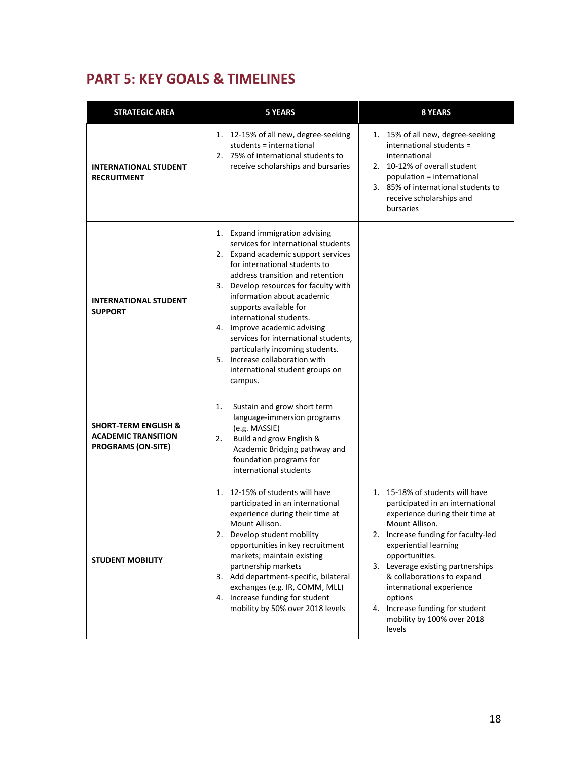# **PART 5: KEY GOALS & TIMELINES**

| <b>STRATEGIC AREA</b>                                                                      | <b>5 YEARS</b>                                                                                                                                                                                                                                                                                                                                                                                                                                                                                           | <b>8 YEARS</b>                                                                                                                                                                                                                                                                                                                                                                                  |
|--------------------------------------------------------------------------------------------|----------------------------------------------------------------------------------------------------------------------------------------------------------------------------------------------------------------------------------------------------------------------------------------------------------------------------------------------------------------------------------------------------------------------------------------------------------------------------------------------------------|-------------------------------------------------------------------------------------------------------------------------------------------------------------------------------------------------------------------------------------------------------------------------------------------------------------------------------------------------------------------------------------------------|
| <b>INTERNATIONAL STUDENT</b><br><b>RECRUITMENT</b>                                         | 1. 12-15% of all new, degree-seeking<br>students = international<br>2. 75% of international students to<br>receive scholarships and bursaries                                                                                                                                                                                                                                                                                                                                                            | 1. 15% of all new, degree-seeking<br>international students =<br>international<br>2. 10-12% of overall student<br>population = international<br>3. 85% of international students to<br>receive scholarships and<br>bursaries                                                                                                                                                                    |
| <b>INTERNATIONAL STUDENT</b><br><b>SUPPORT</b>                                             | 1. Expand immigration advising<br>services for international students<br>2. Expand academic support services<br>for international students to<br>address transition and retention<br>3. Develop resources for faculty with<br>information about academic<br>supports available for<br>international students.<br>4. Improve academic advising<br>services for international students.<br>particularly incoming students.<br>5. Increase collaboration with<br>international student groups on<br>campus. |                                                                                                                                                                                                                                                                                                                                                                                                 |
| <b>SHORT-TERM ENGLISH &amp;</b><br><b>ACADEMIC TRANSITION</b><br><b>PROGRAMS (ON-SITE)</b> | Sustain and grow short term<br>1.<br>language-immersion programs<br>(e.g. MASSIE)<br>Build and grow English &<br>2.<br>Academic Bridging pathway and<br>foundation programs for<br>international students                                                                                                                                                                                                                                                                                                |                                                                                                                                                                                                                                                                                                                                                                                                 |
| <b>STUDENT MOBILITY</b>                                                                    | 1. 12-15% of students will have<br>participated in an international<br>experience during their time at<br>Mount Allison.<br>2. Develop student mobility<br>opportunities in key recruitment<br>markets; maintain existing<br>partnership markets<br>3. Add department-specific, bilateral<br>exchanges (e.g. IR, COMM, MLL)<br>4. Increase funding for student<br>mobility by 50% over 2018 levels                                                                                                       | 1. 15-18% of students will have<br>participated in an international<br>experience during their time at<br>Mount Allison.<br>2. Increase funding for faculty-led<br>experiential learning<br>opportunities.<br>3. Leverage existing partnerships<br>& collaborations to expand<br>international experience<br>options<br>4. Increase funding for student<br>mobility by 100% over 2018<br>levels |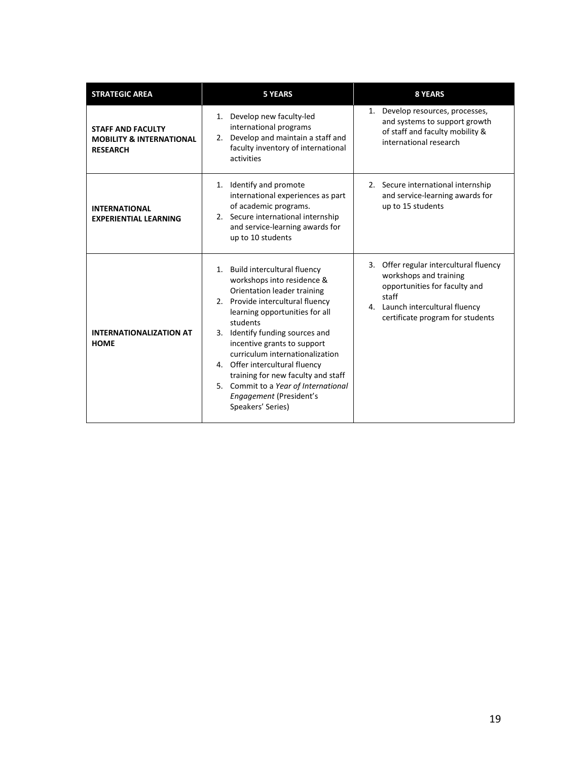| <b>STRATEGIC AREA</b>                                                              | <b>5 YEARS</b>                                                                                                                                                                                                                                                                                                                                                                                                                                     | <b>8 YEARS</b>                                                                                                                                                                       |  |  |
|------------------------------------------------------------------------------------|----------------------------------------------------------------------------------------------------------------------------------------------------------------------------------------------------------------------------------------------------------------------------------------------------------------------------------------------------------------------------------------------------------------------------------------------------|--------------------------------------------------------------------------------------------------------------------------------------------------------------------------------------|--|--|
| <b>STAFF AND FACULTY</b><br><b>MOBILITY &amp; INTERNATIONAL</b><br><b>RESEARCH</b> | 1. Develop new faculty-led<br>international programs<br>2. Develop and maintain a staff and<br>faculty inventory of international<br>activities                                                                                                                                                                                                                                                                                                    | Develop resources, processes,<br>and systems to support growth<br>of staff and faculty mobility &<br>international research                                                          |  |  |
| <b>INTERNATIONAL</b><br><b>EXPERIENTIAL LEARNING</b>                               | 1. Identify and promote<br>international experiences as part<br>of academic programs.<br>2. Secure international internship<br>and service-learning awards for<br>up to 10 students                                                                                                                                                                                                                                                                | 2. Secure international internship<br>and service-learning awards for<br>up to 15 students                                                                                           |  |  |
| <b>INTERNATIONALIZATION AT</b><br><b>HOME</b>                                      | 1. Build intercultural fluency<br>workshops into residence &<br>Orientation leader training<br>2. Provide intercultural fluency<br>learning opportunities for all<br>students<br>3. Identify funding sources and<br>incentive grants to support<br>curriculum internationalization<br>4. Offer intercultural fluency<br>training for new faculty and staff<br>5. Commit to a Year of International<br>Engagement (President's<br>Speakers' Series) | Offer regular intercultural fluency<br>3.<br>workshops and training<br>opportunities for faculty and<br>staff<br>4. Launch intercultural fluency<br>certificate program for students |  |  |